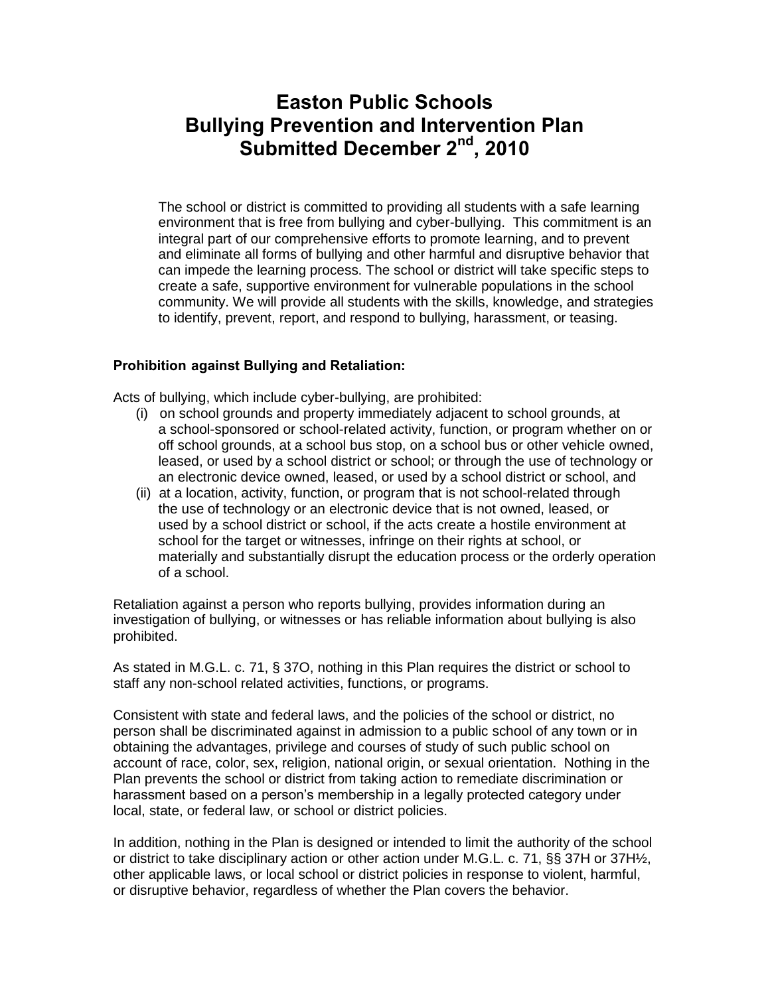# **Easton Public Schools Bullying Prevention and Intervention Plan Submitted December 2nd, 2010**

The school or district is committed to providing all students with a safe learning environment that is free from bullying and cyber-bullying. This commitment is an integral part of our comprehensive efforts to promote learning, and to prevent and eliminate all forms of bullying and other harmful and disruptive behavior that can impede the learning process. The school or district will take specific steps to create a safe, supportive environment for vulnerable populations in the school community. We will provide all students with the skills, knowledge, and strategies to identify, prevent, report, and respond to bullying, harassment, or teasing.

# **Prohibition against Bullying and Retaliation:**

Acts of bullying, which include cyber-bullying, are prohibited:

- (i) on school grounds and property immediately adjacent to school grounds, at a school-sponsored or school-related activity, function, or program whether on or off school grounds, at a school bus stop, on a school bus or other vehicle owned, leased, or used by a school district or school; or through the use of technology or an electronic device owned, leased, or used by a school district or school, and
- (ii) at a location, activity, function, or program that is not school-related through the use of technology or an electronic device that is not owned, leased, or used by a school district or school, if the acts create a hostile environment at school for the target or witnesses, infringe on their rights at school, or materially and substantially disrupt the education process or the orderly operation of a school.

Retaliation against a person who reports bullying, provides information during an investigation of bullying, or witnesses or has reliable information about bullying is also prohibited.

As stated in M.G.L. c. 71, § 37O, nothing in this Plan requires the district or school to staff any non-school related activities, functions, or programs.

Consistent with state and federal laws, and the policies of the school or district, no person shall be discriminated against in admission to a public school of any town or in obtaining the advantages, privilege and courses of study of such public school on account of race, color, sex, religion, national origin, or sexual orientation. Nothing in the Plan prevents the school or district from taking action to remediate discrimination or harassment based on a person's membership in a legally protected category under local, state, or federal law, or school or district policies.

In addition, nothing in the Plan is designed or intended to limit the authority of the school or district to take disciplinary action or other action under M.G.L. c. 71, §§ 37H or 37H½, other applicable laws, or local school or district policies in response to violent, harmful, or disruptive behavior, regardless of whether the Plan covers the behavior.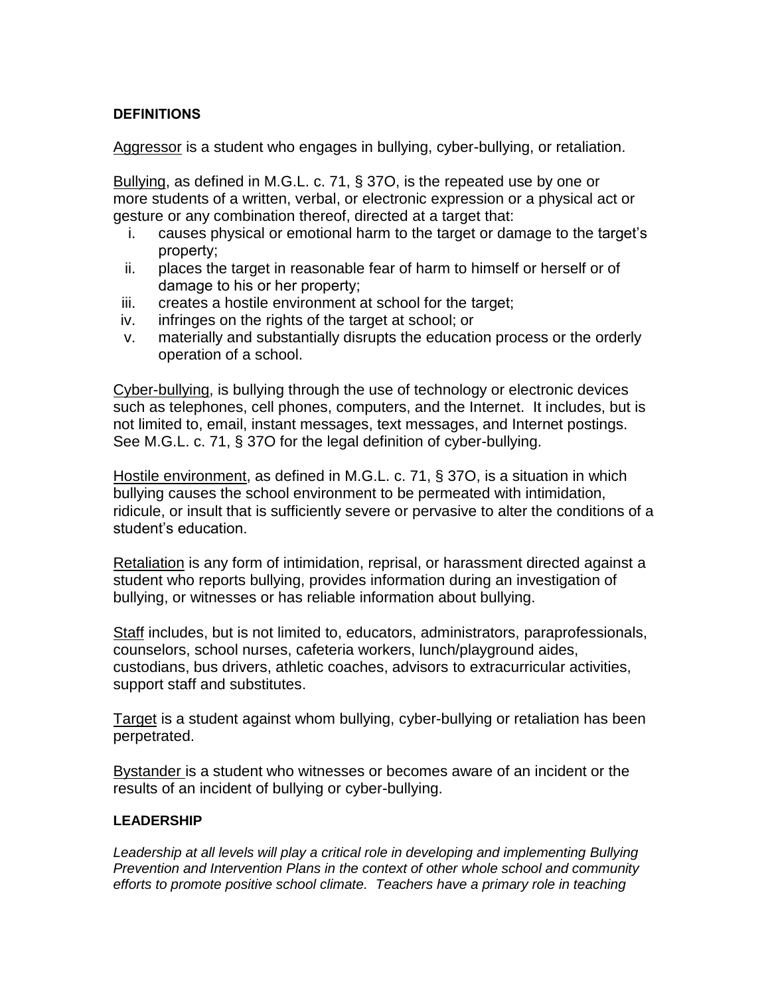# **DEFINITIONS**

Aggressor is a student who engages in bullying, cyber-bullying, or retaliation.

Bullying, as defined in M.G.L. c. 71, § 37O, is the repeated use by one or more students of a written, verbal, or electronic expression or a physical act or gesture or any combination thereof, directed at a target that:

- i. causes physical or emotional harm to the target or damage to the target's property;
- ii. places the target in reasonable fear of harm to himself or herself or of damage to his or her property;
- iii. creates a hostile environment at school for the target;
- iv. infringes on the rights of the target at school; or
- v. materially and substantially disrupts the education process or the orderly operation of a school.

Cyber-bullying, is bullying through the use of technology or electronic devices such as telephones, cell phones, computers, and the Internet. It includes, but is not limited to, email, instant messages, text messages, and Internet postings. See M.G.L. c. 71, § 37O for the legal definition of cyber-bullying.

Hostile environment, as defined in M.G.L. c. 71, § 370, is a situation in which bullying causes the school environment to be permeated with intimidation, ridicule, or insult that is sufficiently severe or pervasive to alter the conditions of a student's education.

Retaliation is any form of intimidation, reprisal, or harassment directed against a student who reports bullying, provides information during an investigation of bullying, or witnesses or has reliable information about bullying.

Staff includes, but is not limited to, educators, administrators, paraprofessionals, counselors, school nurses, cafeteria workers, lunch/playground aides, custodians, bus drivers, athletic coaches, advisors to extracurricular activities, support staff and substitutes.

Target is a student against whom bullying, cyber-bullying or retaliation has been perpetrated.

Bystander is a student who witnesses or becomes aware of an incident or the results of an incident of bullying or cyber-bullying.

# **LEADERSHIP**

*Leadership at all levels will play a critical role in developing and implementing Bullying Prevention and Intervention Plans in the context of other whole school and community efforts to promote positive school climate. Teachers have a primary role in teaching*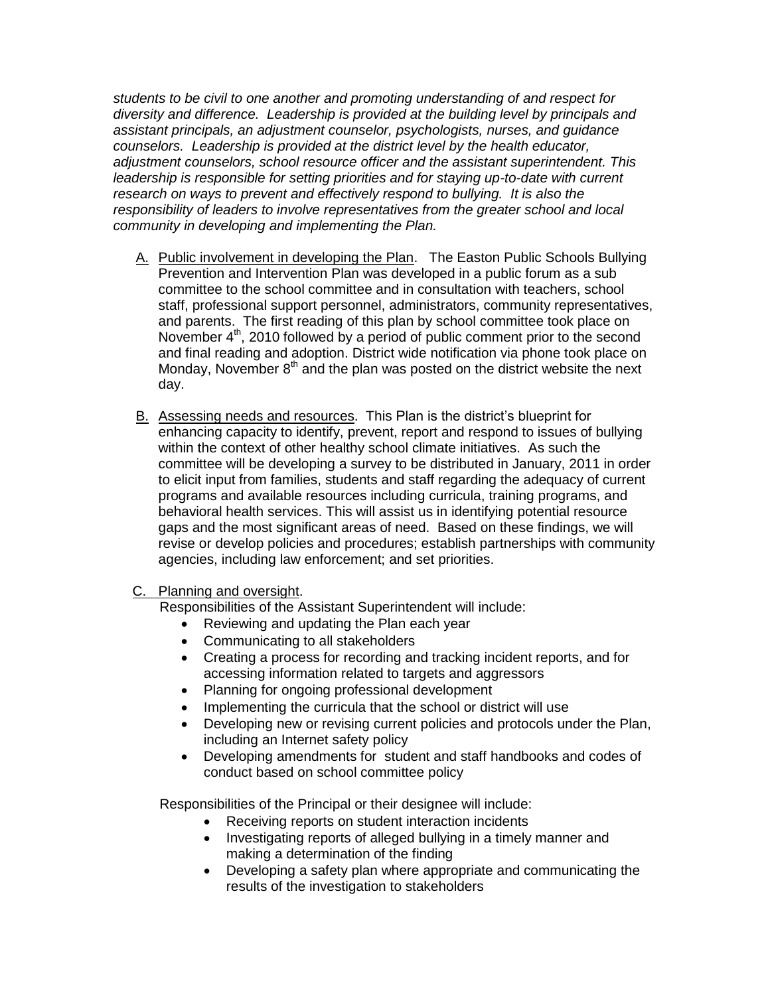*students to be civil to one another and promoting understanding of and respect for diversity and difference. Leadership is provided at the building level by principals and assistant principals, an adjustment counselor, psychologists, nurses, and guidance counselors. Leadership is provided at the district level by the health educator, adjustment counselors, school resource officer and the assistant superintendent. This leadership is responsible for setting priorities and for staying up-to-date with current research on ways to prevent and effectively respond to bullying. It is also the responsibility of leaders to involve representatives from the greater school and local community in developing and implementing the Plan.*

- A. Public involvement in developing the Plan. The Easton Public Schools Bullying Prevention and Intervention Plan was developed in a public forum as a sub committee to the school committee and in consultation with teachers, school staff, professional support personnel, administrators, community representatives, and parents. The first reading of this plan by school committee took place on November  $4<sup>th</sup>$ , 2010 followed by a period of public comment prior to the second and final reading and adoption. District wide notification via phone took place on Monday, November  $8<sup>th</sup>$  and the plan was posted on the district website the next day.
- B. Assessing needs and resources. This Plan is the district's blueprint for enhancing capacity to identify, prevent, report and respond to issues of bullying within the context of other healthy school climate initiatives. As such the committee will be developing a survey to be distributed in January, 2011 in order to elicit input from families, students and staff regarding the adequacy of current programs and available resources including curricula, training programs, and behavioral health services. This will assist us in identifying potential resource gaps and the most significant areas of need. Based on these findings, we will revise or develop policies and procedures; establish partnerships with community agencies, including law enforcement; and set priorities.

C. Planning and oversight.

Responsibilities of the Assistant Superintendent will include:

- Reviewing and updating the Plan each year
- Communicating to all stakeholders
- Creating a process for recording and tracking incident reports, and for accessing information related to targets and aggressors
- Planning for ongoing professional development
- Implementing the curricula that the school or district will use
- Developing new or revising current policies and protocols under the Plan, including an Internet safety policy
- Developing amendments for student and staff handbooks and codes of conduct based on school committee policy

Responsibilities of the Principal or their designee will include:

- Receiving reports on student interaction incidents
- Investigating reports of alleged bullying in a timely manner and making a determination of the finding
- Developing a safety plan where appropriate and communicating the results of the investigation to stakeholders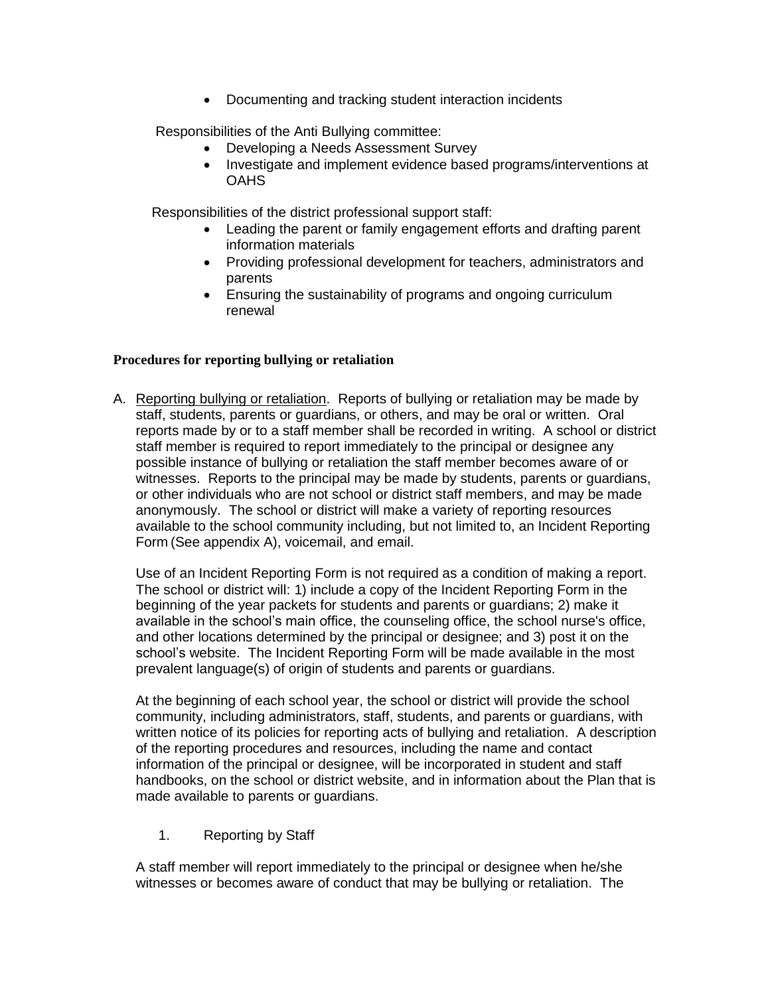• Documenting and tracking student interaction incidents

Responsibilities of the Anti Bullying committee:

- Developing a Needs Assessment Survey
- Investigate and implement evidence based programs/interventions at **OAHS**

Responsibilities of the district professional support staff:

- Leading the parent or family engagement efforts and drafting parent information materials
- Providing professional development for teachers, administrators and parents
- Ensuring the sustainability of programs and ongoing curriculum renewal

#### **Procedures for reporting bullying or retaliation**

A. Reporting bullying or retaliation. Reports of bullying or retaliation may be made by staff, students, parents or guardians, or others, and may be oral or written. Oral reports made by or to a staff member shall be recorded in writing. A school or district staff member is required to report immediately to the principal or designee any possible instance of bullying or retaliation the staff member becomes aware of or witnesses. Reports to the principal may be made by students, parents or guardians, or other individuals who are not school or district staff members, and may be made anonymously. The school or district will make a variety of reporting resources available to the school community including, but not limited to, an Incident Reporting Form (See appendix A), voicemail, and email.

Use of an Incident Reporting Form is not required as a condition of making a report. The school or district will: 1) include a copy of the Incident Reporting Form in the beginning of the year packets for students and parents or guardians; 2) make it available in the school's main office, the counseling office, the school nurse's office, and other locations determined by the principal or designee; and 3) post it on the school's website. The Incident Reporting Form will be made available in the most prevalent language(s) of origin of students and parents or guardians.

At the beginning of each school year, the school or district will provide the school community, including administrators, staff, students, and parents or guardians, with written notice of its policies for reporting acts of bullying and retaliation. A description of the reporting procedures and resources, including the name and contact information of the principal or designee, will be incorporated in student and staff handbooks, on the school or district website, and in information about the Plan that is made available to parents or guardians.

1. Reporting by Staff

A staff member will report immediately to the principal or designee when he/she witnesses or becomes aware of conduct that may be bullying or retaliation. The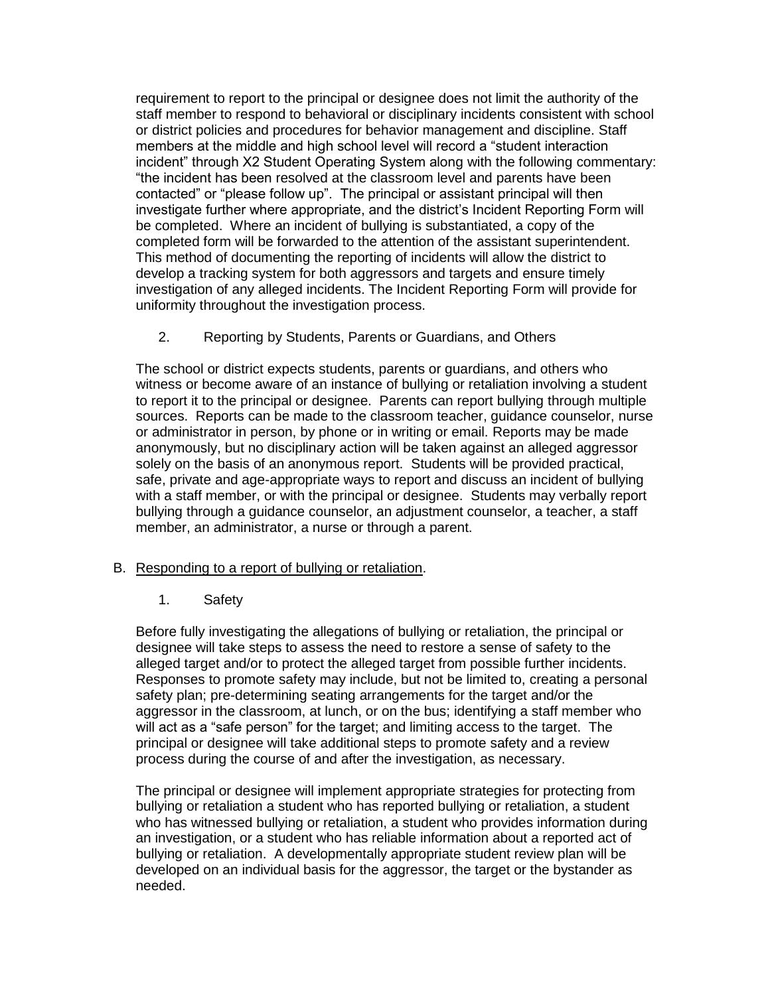requirement to report to the principal or designee does not limit the authority of the staff member to respond to behavioral or disciplinary incidents consistent with school or district policies and procedures for behavior management and discipline. Staff members at the middle and high school level will record a "student interaction incident" through X2 Student Operating System along with the following commentary: "the incident has been resolved at the classroom level and parents have been contacted" or "please follow up". The principal or assistant principal will then investigate further where appropriate, and the district's Incident Reporting Form will be completed. Where an incident of bullying is substantiated, a copy of the completed form will be forwarded to the attention of the assistant superintendent. This method of documenting the reporting of incidents will allow the district to develop a tracking system for both aggressors and targets and ensure timely investigation of any alleged incidents. The Incident Reporting Form will provide for uniformity throughout the investigation process.

2. Reporting by Students, Parents or Guardians, and Others

The school or district expects students, parents or guardians, and others who witness or become aware of an instance of bullying or retaliation involving a student to report it to the principal or designee. Parents can report bullying through multiple sources. Reports can be made to the classroom teacher, guidance counselor, nurse or administrator in person, by phone or in writing or email. Reports may be made anonymously, but no disciplinary action will be taken against an alleged aggressor solely on the basis of an anonymous report. Students will be provided practical, safe, private and age-appropriate ways to report and discuss an incident of bullying with a staff member, or with the principal or designee. Students may verbally report bullying through a guidance counselor, an adjustment counselor, a teacher, a staff member, an administrator, a nurse or through a parent.

# B. Responding to a report of bullying or retaliation.

# 1. Safety

Before fully investigating the allegations of bullying or retaliation, the principal or designee will take steps to assess the need to restore a sense of safety to the alleged target and/or to protect the alleged target from possible further incidents. Responses to promote safety may include, but not be limited to, creating a personal safety plan; pre-determining seating arrangements for the target and/or the aggressor in the classroom, at lunch, or on the bus; identifying a staff member who will act as a "safe person" for the target; and limiting access to the target. The principal or designee will take additional steps to promote safety and a review process during the course of and after the investigation, as necessary.

The principal or designee will implement appropriate strategies for protecting from bullying or retaliation a student who has reported bullying or retaliation, a student who has witnessed bullying or retaliation, a student who provides information during an investigation, or a student who has reliable information about a reported act of bullying or retaliation. A developmentally appropriate student review plan will be developed on an individual basis for the aggressor, the target or the bystander as needed.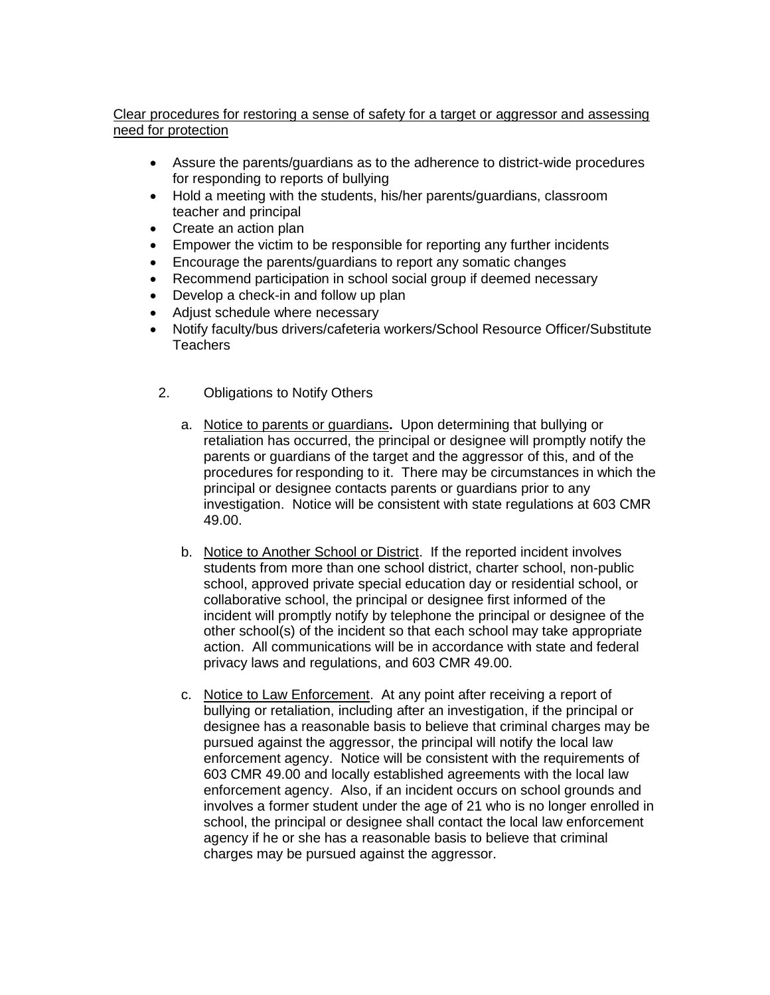# Clear procedures for restoring a sense of safety for a target or aggressor and assessing need for protection

- Assure the parents/guardians as to the adherence to district-wide procedures for responding to reports of bullying
- Hold a meeting with the students, his/her parents/guardians, classroom teacher and principal
- Create an action plan
- Empower the victim to be responsible for reporting any further incidents
- Encourage the parents/guardians to report any somatic changes
- Recommend participation in school social group if deemed necessary
- Develop a check-in and follow up plan
- Adjust schedule where necessary
- Notify faculty/bus drivers/cafeteria workers/School Resource Officer/Substitute Teachers
	- 2. Obligations to Notify Others
		- a. Notice to parents or guardians**.** Upon determining that bullying or retaliation has occurred, the principal or designee will promptly notify the parents or guardians of the target and the aggressor of this, and of the procedures for responding to it. There may be circumstances in which the principal or designee contacts parents or guardians prior to any investigation. Notice will be consistent with state regulations at 603 CMR 49.00.
		- b. Notice to Another School or District. If the reported incident involves students from more than one school district, charter school, non-public school, approved private special education day or residential school, or collaborative school, the principal or designee first informed of the incident will promptly notify by telephone the principal or designee of the other school(s) of the incident so that each school may take appropriate action. All communications will be in accordance with state and federal privacy laws and regulations, and 603 CMR 49.00.
		- c. Notice to Law Enforcement.At any point after receiving a report of bullying or retaliation, including after an investigation, if the principal or designee has a reasonable basis to believe that criminal charges may be pursued against the aggressor, the principal will notify the local law enforcement agency. Notice will be consistent with the requirements of 603 CMR 49.00 and locally established agreements with the local law enforcement agency. Also, if an incident occurs on school grounds and involves a former student under the age of 21 who is no longer enrolled in school, the principal or designee shall contact the local law enforcement agency if he or she has a reasonable basis to believe that criminal charges may be pursued against the aggressor.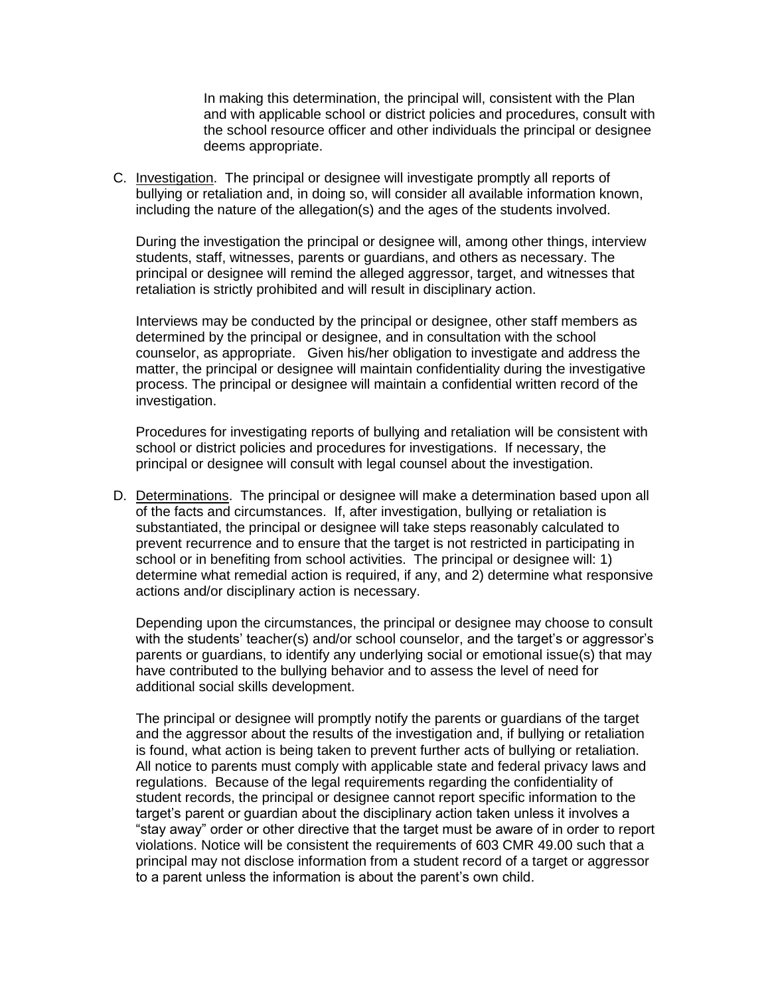In making this determination, the principal will, consistent with the Plan and with applicable school or district policies and procedures, consult with the school resource officer and other individuals the principal or designee deems appropriate.

C. Investigation. The principal or designee will investigate promptly all reports of bullying or retaliation and, in doing so, will consider all available information known, including the nature of the allegation(s) and the ages of the students involved.

During the investigation the principal or designee will, among other things, interview students, staff, witnesses, parents or guardians, and others as necessary. The principal or designee will remind the alleged aggressor, target, and witnesses that retaliation is strictly prohibited and will result in disciplinary action.

Interviews may be conducted by the principal or designee, other staff members as determined by the principal or designee, and in consultation with the school counselor, as appropriate. Given his/her obligation to investigate and address the matter, the principal or designee will maintain confidentiality during the investigative process. The principal or designee will maintain a confidential written record of the investigation.

Procedures for investigating reports of bullying and retaliation will be consistent with school or district policies and procedures for investigations. If necessary, the principal or designee will consult with legal counsel about the investigation.

D. Determinations. The principal or designee will make a determination based upon all of the facts and circumstances. If, after investigation, bullying or retaliation is substantiated, the principal or designee will take steps reasonably calculated to prevent recurrence and to ensure that the target is not restricted in participating in school or in benefiting from school activities. The principal or designee will: 1) determine what remedial action is required, if any, and 2) determine what responsive actions and/or disciplinary action is necessary.

Depending upon the circumstances, the principal or designee may choose to consult with the students' teacher(s) and/or school counselor, and the target's or aggressor's parents or guardians, to identify any underlying social or emotional issue(s) that may have contributed to the bullying behavior and to assess the level of need for additional social skills development.

The principal or designee will promptly notify the parents or guardians of the target and the aggressor about the results of the investigation and, if bullying or retaliation is found, what action is being taken to prevent further acts of bullying or retaliation. All notice to parents must comply with applicable state and federal privacy laws and regulations. Because of the legal requirements regarding the confidentiality of student records, the principal or designee cannot report specific information to the target's parent or guardian about the disciplinary action taken unless it involves a "stay away" order or other directive that the target must be aware of in order to report violations. Notice will be consistent the requirements of 603 CMR 49.00 such that a principal may not disclose information from a student record of a target or aggressor to a parent unless the information is about the parent's own child.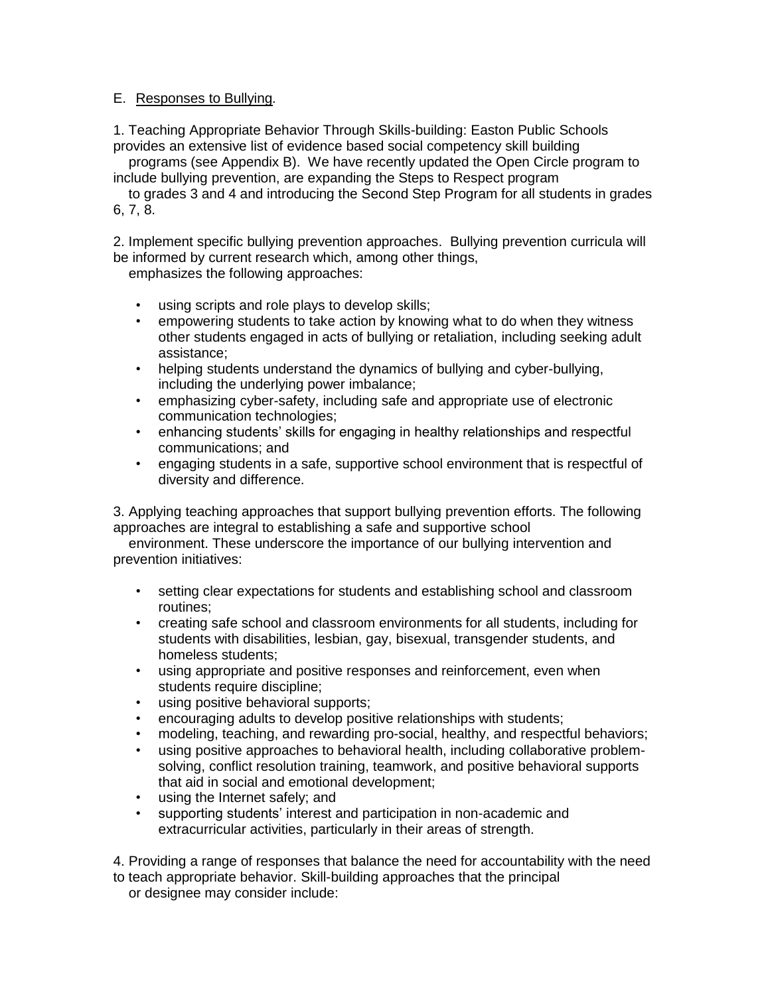#### E. Responses to Bullying*.*

1. Teaching Appropriate Behavior Through Skills-building: Easton Public Schools provides an extensive list of evidence based social competency skill building

 programs (see Appendix B). We have recently updated the Open Circle program to include bullying prevention, are expanding the Steps to Respect program

 to grades 3 and 4 and introducing the Second Step Program for all students in grades 6, 7, 8.

2. Implement specific bullying prevention approaches. Bullying prevention curricula will be informed by current research which, among other things,

emphasizes the following approaches:

- using scripts and role plays to develop skills;
- empowering students to take action by knowing what to do when they witness other students engaged in acts of bullying or retaliation, including seeking adult assistance;
- helping students understand the dynamics of bullying and cyber-bullying, including the underlying power imbalance;
- emphasizing cyber-safety, including safe and appropriate use of electronic communication technologies;
- enhancing students' skills for engaging in healthy relationships and respectful communications; and
- engaging students in a safe, supportive school environment that is respectful of diversity and difference.

3. Applying teaching approaches that support bullying prevention efforts. The following approaches are integral to establishing a safe and supportive school

 environment. These underscore the importance of our bullying intervention and prevention initiatives:

- setting clear expectations for students and establishing school and classroom routines;
- creating safe school and classroom environments for all students, including for students with disabilities, lesbian, gay, bisexual, transgender students, and homeless students;
- using appropriate and positive responses and reinforcement, even when students require discipline;
- using positive behavioral supports;
- encouraging adults to develop positive relationships with students;
- modeling, teaching, and rewarding pro-social, healthy, and respectful behaviors;
- using positive approaches to behavioral health, including collaborative problemsolving, conflict resolution training, teamwork, and positive behavioral supports that aid in social and emotional development;
- using the Internet safely; and
- supporting students' interest and participation in non-academic and extracurricular activities, particularly in their areas of strength.

4. Providing a range of responses that balance the need for accountability with the need to teach appropriate behavior. Skill-building approaches that the principal or designee may consider include: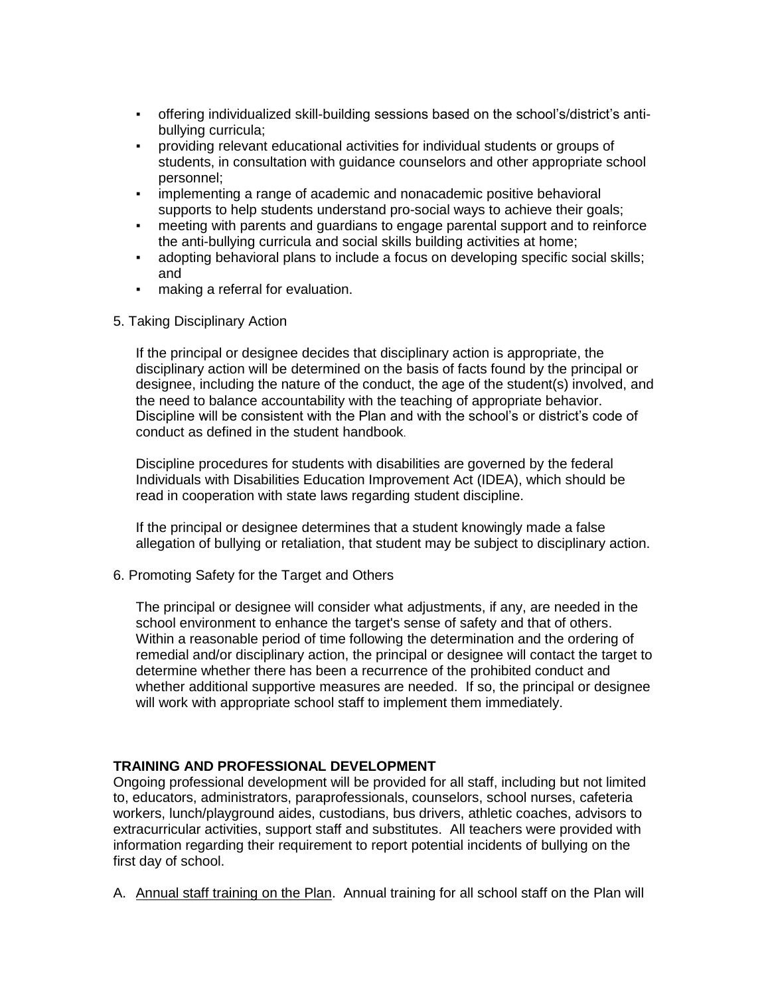- offering individualized skill-building sessions based on the school's/district's antibullying curricula;
- providing relevant educational activities for individual students or groups of students, in consultation with guidance counselors and other appropriate school personnel;
- implementing a range of academic and nonacademic positive behavioral supports to help students understand pro-social ways to achieve their goals;
- meeting with parents and guardians to engage parental support and to reinforce the anti-bullying curricula and social skills building activities at home;
- adopting behavioral plans to include a focus on developing specific social skills; and
- **•** making a referral for evaluation.
- 5. Taking Disciplinary Action

If the principal or designee decides that disciplinary action is appropriate, the disciplinary action will be determined on the basis of facts found by the principal or designee, including the nature of the conduct, the age of the student(s) involved, and the need to balance accountability with the teaching of appropriate behavior. Discipline will be consistent with the Plan and with the school's or district's code of conduct as defined in the student handbook.

Discipline procedures for students with disabilities are governed by the federal Individuals with Disabilities Education Improvement Act (IDEA), which should be read in cooperation with state laws regarding student discipline.

If the principal or designee determines that a student knowingly made a false allegation of bullying or retaliation, that student may be subject to disciplinary action.

6. Promoting Safety for the Target and Others

The principal or designee will consider what adjustments, if any, are needed in the school environment to enhance the target's sense of safety and that of others. Within a reasonable period of time following the determination and the ordering of remedial and/or disciplinary action, the principal or designee will contact the target to determine whether there has been a recurrence of the prohibited conduct and whether additional supportive measures are needed. If so, the principal or designee will work with appropriate school staff to implement them immediately.

# **TRAINING AND PROFESSIONAL DEVELOPMENT**

Ongoing professional development will be provided for all staff, including but not limited to, educators, administrators, paraprofessionals, counselors, school nurses, cafeteria workers, lunch/playground aides, custodians, bus drivers, athletic coaches, advisors to extracurricular activities, support staff and substitutes. All teachers were provided with information regarding their requirement to report potential incidents of bullying on the first day of school.

A. Annual staff training on the Plan. Annual training for all school staff on the Plan will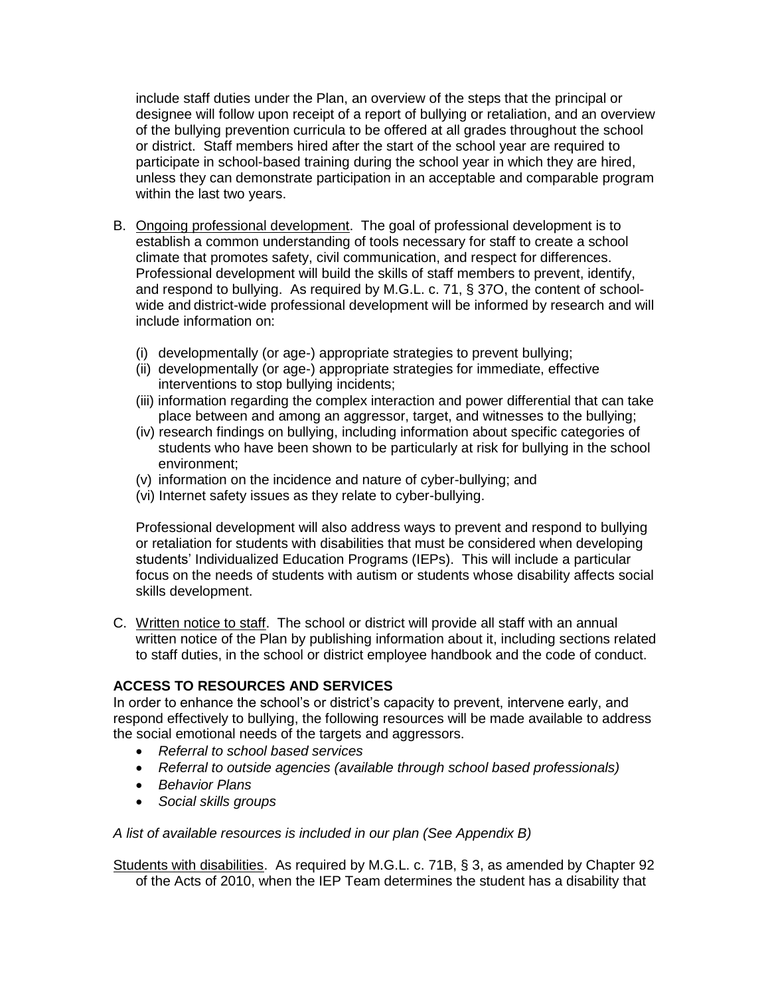include staff duties under the Plan, an overview of the steps that the principal or designee will follow upon receipt of a report of bullying or retaliation, and an overview of the bullying prevention curricula to be offered at all grades throughout the school or district. Staff members hired after the start of the school year are required to participate in school-based training during the school year in which they are hired, unless they can demonstrate participation in an acceptable and comparable program within the last two years.

- B. Ongoing professional development. The goal of professional development is to establish a common understanding of tools necessary for staff to create a school climate that promotes safety, civil communication, and respect for differences. Professional development will build the skills of staff members to prevent, identify, and respond to bullying. As required by M.G.L. c. 71, § 37O, the content of schoolwide and district-wide professional development will be informed by research and will include information on:
	- (i) developmentally (or age-) appropriate strategies to prevent bullying;
	- (ii) developmentally (or age-) appropriate strategies for immediate, effective interventions to stop bullying incidents;
	- (iii) information regarding the complex interaction and power differential that can take place between and among an aggressor, target, and witnesses to the bullying;
	- (iv) research findings on bullying, including information about specific categories of students who have been shown to be particularly at risk for bullying in the school environment;
	- (v) information on the incidence and nature of cyber-bullying; and
	- (vi) Internet safety issues as they relate to cyber-bullying.

Professional development will also address ways to prevent and respond to bullying or retaliation for students with disabilities that must be considered when developing students' Individualized Education Programs (IEPs). This will include a particular focus on the needs of students with autism or students whose disability affects social skills development.

C. Written notice to staff. The school or district will provide all staff with an annual written notice of the Plan by publishing information about it, including sections related to staff duties, in the school or district employee handbook and the code of conduct.

#### **ACCESS TO RESOURCES AND SERVICES**

In order to enhance the school's or district's capacity to prevent, intervene early, and respond effectively to bullying, the following resources will be made available to address the social emotional needs of the targets and aggressors.

- *Referral to school based services*
- *Referral to outside agencies (available through school based professionals)*
- *Behavior Plans*
- *Social skills groups*

#### *A list of available resources is included in our plan (See Appendix B)*

Students with disabilities. As required by M.G.L. c. 71B, § 3, as amended by Chapter 92 of the Acts of 2010, when the IEP Team determines the student has a disability that